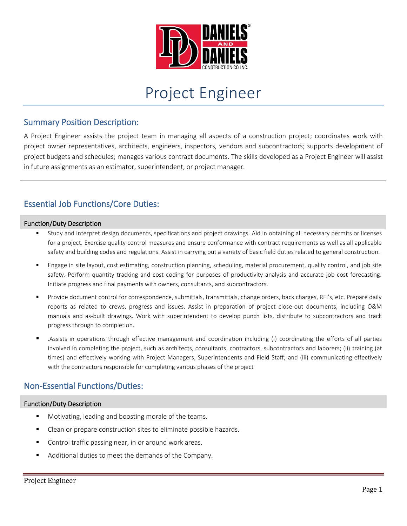

# Project Engineer

#### Summary Position Description:

A Project Engineer assists the project team in managing all aspects of a construction project; coordinates work with project owner representatives, architects, engineers, inspectors, vendors and subcontractors; supports development of project budgets and schedules; manages various contract documents. The skills developed as a Project Engineer will assist in future assignments as an estimator, superintendent, or project manager.

## Essential Job Functions/Core Duties:

#### Function/Duty Description

- Study and interpret design documents, specifications and project drawings. Aid in obtaining all necessary permits or licenses for a project. Exercise quality control measures and ensure conformance with contract requirements as well as all applicable safety and building codes and regulations. Assist in carrying out a variety of basic field duties related to general construction.
- Engage in site layout, cost estimating, construction planning, scheduling, material procurement, quality control, and job site safety. Perform quantity tracking and cost coding for purposes of productivity analysis and accurate job cost forecasting. Initiate progress and final payments with owners, consultants, and subcontractors.
- Provide document control for correspondence, submittals, transmittals, change orders, back charges, RFI's, etc. Prepare daily reports as related to crews, progress and issues. Assist in preparation of project close-out documents, including O&M manuals and as-built drawings. Work with superintendent to develop punch lists, distribute to subcontractors and track progress through to completion.
- .Assists in operations through effective management and coordination including (i) coordinating the efforts of all parties involved in completing the project, such as architects, consultants, contractors, subcontractors and laborers; (ii) training (at times) and effectively working with Project Managers, Superintendents and Field Staff; and (iii) communicating effectively with the contractors responsible for completing various phases of the project

### Non-Essential Functions/Duties:

#### Function/Duty Description

- Motivating, leading and boosting morale of the teams.
- Clean or prepare construction sites to eliminate possible hazards.
- Control traffic passing near, in or around work areas.
- Additional duties to meet the demands of the Company.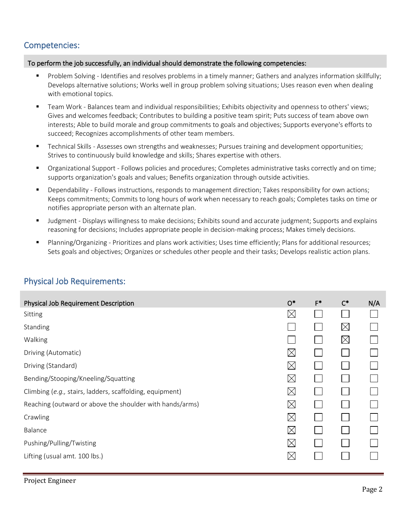## Competencies:

#### To perform the job successfully, an individual should demonstrate the following competencies:

- Problem Solving Identifies and resolves problems in a timely manner; Gathers and analyzes information skillfully; Develops alternative solutions; Works well in group problem solving situations; Uses reason even when dealing with emotional topics.
- Team Work Balances team and individual responsibilities; Exhibits objectivity and openness to others' views; Gives and welcomes feedback; Contributes to building a positive team spirit; Puts success of team above own interests; Able to build morale and group commitments to goals and objectives; Supports everyone's efforts to succeed; Recognizes accomplishments of other team members.
- Technical Skills Assesses own strengths and weaknesses; Pursues training and development opportunities; Strives to continuously build knowledge and skills; Shares expertise with others.
- Organizational Support Follows policies and procedures; Completes administrative tasks correctly and on time; supports organization's goals and values; Benefits organization through outside activities.
- Dependability Follows instructions, responds to management direction; Takes responsibility for own actions; Keeps commitments; Commits to long hours of work when necessary to reach goals; Completes tasks on time or notifies appropriate person with an alternate plan.
- Judgment Displays willingness to make decisions; Exhibits sound and accurate judgment; Supports and explains reasoning for decisions; Includes appropriate people in decision-making process; Makes timely decisions.
- Planning/Organizing Prioritizes and plans work activities; Uses time efficiently; Plans for additional resources; Sets goals and objectives; Organizes or schedules other people and their tasks; Develops realistic action plans.

| Physical Job Requirement Description                     | $O^*$       | $F^*$ | $C^*$       | N/A |
|----------------------------------------------------------|-------------|-------|-------------|-----|
| Sitting                                                  | $\boxtimes$ |       |             |     |
| Standing                                                 |             |       | $\boxtimes$ |     |
| Walking                                                  |             |       | $\times$    |     |
| Driving (Automatic)                                      | $\boxtimes$ |       |             |     |
| Driving (Standard)                                       | $\boxtimes$ |       |             |     |
| Bending/Stooping/Kneeling/Squatting                      | $\boxtimes$ |       |             |     |
| Climbing (e.g., stairs, ladders, scaffolding, equipment) | $\boxtimes$ |       |             |     |
| Reaching (outward or above the shoulder with hands/arms) | $\boxtimes$ |       |             |     |
| Crawling                                                 | $\boxtimes$ |       |             |     |
| Balance                                                  | $\boxtimes$ |       |             |     |
| Pushing/Pulling/Twisting                                 | $\boxtimes$ |       |             |     |
| Lifting (usual amt. 100 lbs.)                            | $\boxtimes$ |       |             |     |

### Physical Job Requirements: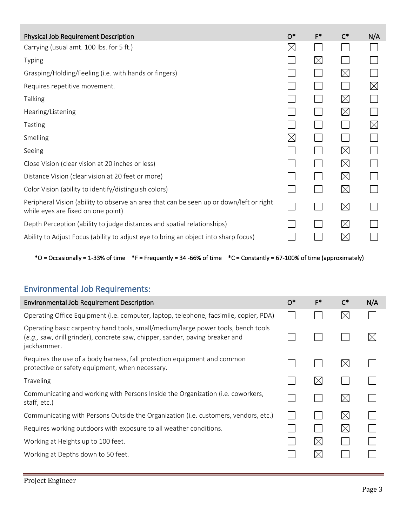| <b>Physical Job Requirement Description</b>                                                                                   | $O^*$       | $F^*$       | $C^*$       | N/A         |
|-------------------------------------------------------------------------------------------------------------------------------|-------------|-------------|-------------|-------------|
| Carrying (usual amt. 100 lbs. for 5 ft.)                                                                                      | $\times$    |             |             |             |
| <b>Typing</b>                                                                                                                 |             | $\boxtimes$ |             |             |
| Grasping/Holding/Feeling (i.e. with hands or fingers)                                                                         |             |             | $\boxtimes$ |             |
| Requires repetitive movement.                                                                                                 |             |             |             | $\boxtimes$ |
| <b>Talking</b>                                                                                                                |             |             | $\boxtimes$ |             |
| Hearing/Listening                                                                                                             |             |             | $\boxtimes$ |             |
| Tasting                                                                                                                       |             |             |             | $\boxtimes$ |
| Smelling                                                                                                                      | $\boxtimes$ |             |             |             |
| Seeing                                                                                                                        |             |             | $\boxtimes$ |             |
| Close Vision (clear vision at 20 inches or less)                                                                              |             |             | $\boxtimes$ |             |
| Distance Vision (clear vision at 20 feet or more)                                                                             |             |             | $\boxtimes$ |             |
| Color Vision (ability to identify/distinguish colors)                                                                         |             |             | $\times$    |             |
| Peripheral Vision (ability to observe an area that can be seen up or down/left or right<br>while eyes are fixed on one point) |             |             | $\boxtimes$ |             |
| Depth Perception (ability to judge distances and spatial relationships)                                                       |             |             | $\boxtimes$ |             |
| Ability to Adjust Focus (ability to adjust eye to bring an object into sharp focus)                                           |             |             | $\boxtimes$ |             |

 $*$ O = Occasionally = 1-33% of time  $*$ F = Frequently = 34 -66% of time  $*$ C = Constantly = 67-100% of time (approximately)

# Environmental Job Requirements:

| <b>Environmental Job Requirement Description</b>                                                                                                                                  | $O^*$ | $F^*$       | $\mathsf{C}^*$ | N/A |
|-----------------------------------------------------------------------------------------------------------------------------------------------------------------------------------|-------|-------------|----------------|-----|
| Operating Office Equipment (i.e. computer, laptop, telephone, facsimile, copier, PDA)                                                                                             |       |             | $\boxtimes$    |     |
| Operating basic carpentry hand tools, small/medium/large power tools, bench tools<br>(e.g., saw, drill grinder), concrete saw, chipper, sander, paving breaker and<br>jackhammer. |       |             |                |     |
| Requires the use of a body harness, fall protection equipment and common<br>protective or safety equipment, when necessary.                                                       |       |             | $\boxtimes$    |     |
| Traveling                                                                                                                                                                         |       | $\boxtimes$ |                |     |
| Communicating and working with Persons Inside the Organization (i.e. coworkers,<br>staff, etc.)                                                                                   |       |             | $\boxtimes$    |     |
| Communicating with Persons Outside the Organization (i.e. customers, vendors, etc.)                                                                                               |       |             | $\bowtie$      |     |
| Requires working outdoors with exposure to all weather conditions.                                                                                                                |       |             | $\boxtimes$    |     |
| Working at Heights up to 100 feet.                                                                                                                                                |       | $\boxtimes$ |                |     |
| Working at Depths down to 50 feet.                                                                                                                                                |       | $\boxtimes$ |                |     |